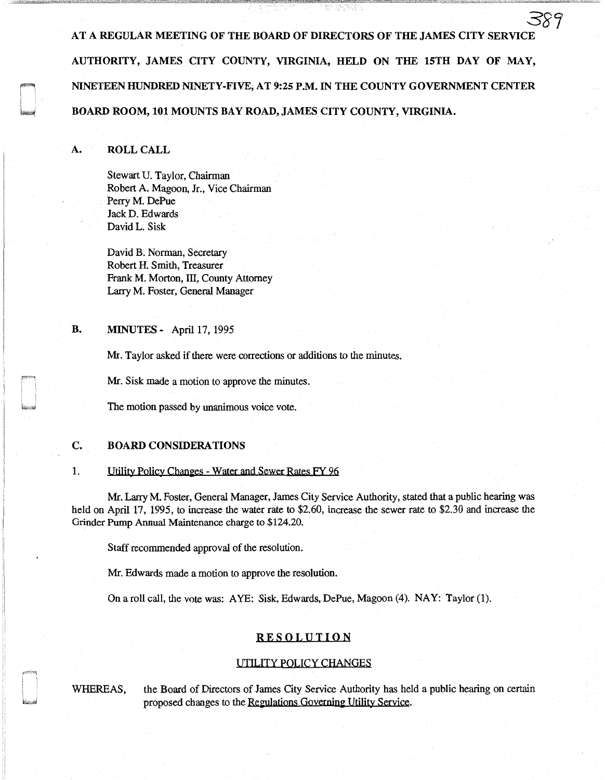*38'7*  AT A REGULAR MEETING OF THE BOARD OF DIRECTORS OF THE JAMES CITY SERVIC AUTHORITY, JAMES CITY COUNTY, VIRGINIA, HELD ON THE 15TH DAY OF MAY, NINETEEN HUNDRED NINETY-FIVE, AT 9:25 P.M. IN THE COUNTY GOVERNMENT CENTER BOARD ROOM, 101 MOUNTS BAY ROAD, JAMES CITY COUNTY, VIRGINIA.

## A. ROLL CALL

Stewart U. Taylor, Chairman Robert A. Magoon, Jr., Vice Chairman Perry M. DePue Jack D. Edwards David L. Sisk

David B. Norman, Secretary Robert H. Smith, Treasurer Frank M. Morton, III, County Attorney Larry M. Foster, General Manager

## **B. MINUTES** - April 17, 1995

Mr. Taylor asked if there were corrections or additions to the minutes.

Mr. Sisk made a motion to approve the minutes.

The motion passed by unanimous voice vote.

#### C. BOARD CONSIDERATIONS

#### 1. Utility Policy Changes - Water and Sewer Rates FY 96

Mr. Larry M. Foster, General Manager, James City Service Authority, stated that a public hearing was held on April 17, 1995, to increase the water rate to \$2.60, increase the sewer rate to \$2.30 and increase the Grinder Pump Annual Maintenance charge to \$124.20.

Staff recommended approval of the resolution.

Mr. Edwards made a motion to approve the resolution.

On a roll call, the vote was: A YE: Sisk, Edwards, DePue, Magoon (4). NAY: Taylor (1).

## RESOLUTION

#### UTILITY POLICY CHANGES

WHEREAS, the Board of Directors of James City Service Authority has held a public hearing on certain proposed changes to the Regulations Governing Utility Service.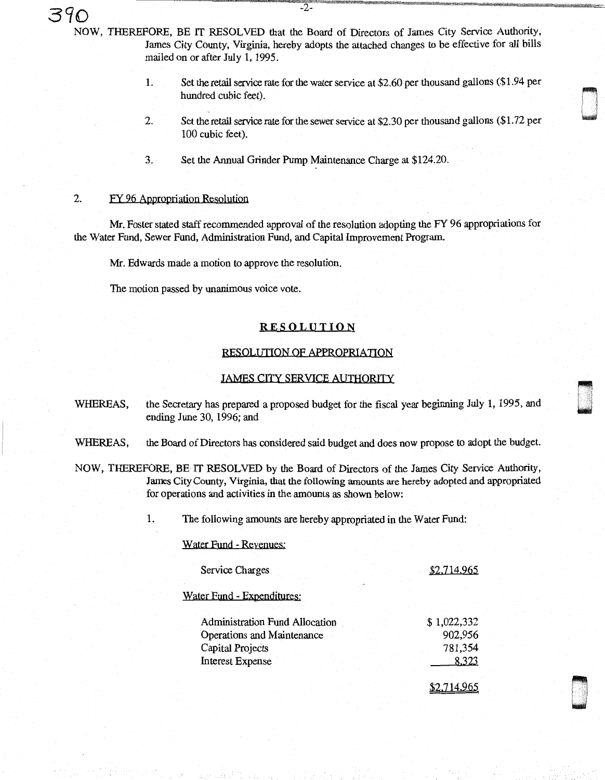**390** -2- NOW, THEREFORE, BE IT RESOLVED that the Board of Directors of James City Service Authority, James City County, Virginia, hereby adopts the attached changes to be effective for all bills mailed on or after July 1, 1995.

> 1. Set the retail service rate for the water service at \$2.60 per thousand gallons (\$1.94 per hundred cubic feet).

ri ' l w

dan<br>Dinastian<br>Dinastian

- 2. Set the retail service rate for the sewer service at \$2. 30 per thousand gallons (\$1. 72 per 100 cubic feet).
- 3. Set the Annual Grinder Pump Maintenance Charge at \$124.20.

## 2. FY 96 Appropriation Resolution

Mr. Foster stated staff recommended approval of the resolution adopting the FY 96 appropriations for the Water Fund, Sewer Fund, Administration Fund, and Capital Improvement Program.

Mr. Edwards made a motion to approve the resolution.

The motion passed by unanimous voice vote.

## **RESOLUTION**

#### RESOLUTION OF APPROPRIATION

#### JAMES CITY SERVICE AUTHORITY

- WHEREAS, the Secretary has prepared a proposed budget for the fiscal year beginning July 1, 1995, and ending June 30, 1996; and
- WHEREAS, the Board of Directors has considered said budget and does now propose to adopt the budget.
- NOW, THEREFORE, BE IT RESOLVED by the Board of Directors of the James City Service Authority, James City Cowity, Virginia, that the following amounts are hereby adopted and appropriated for operations and activities in the amounts as shown below:

1. The following amounts are hereby appropriated in the Water Fund:

Water Fund - Revenues:

| Service Charges                       |             |
|---------------------------------------|-------------|
| Water Fund - Expenditures:            |             |
| <b>Administration Fund Allocation</b> | \$1,022,332 |
| Operations and Maintenance            | 902,956     |
| Capital Projects                      | 781,354     |
| <b>Interest Expense</b>               | 8.323       |
|                                       |             |

<u>\$2.714.965</u>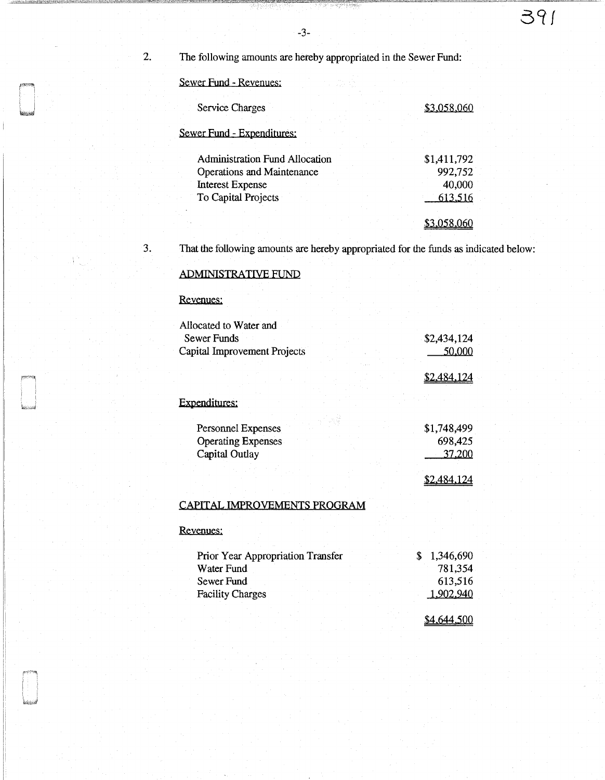-3-

2. The following amounts are hereby appropriated in the Sewer Fund:

Sewer fund - Revenues:

| Service Charges                       | \$3.058.060 |  |
|---------------------------------------|-------------|--|
| Sewer Fund - Expenditures:            |             |  |
| <b>Administration Fund Allocation</b> | \$1,411,792 |  |
| <b>Operations and Maintenance</b>     | 992,752     |  |
| <b>Interest Expense</b>               | 40,000      |  |
| To Capital Projects                   | 613,516     |  |
|                                       |             |  |

3. That the following amounts are hereby appropriated for the funds as indicated below:

# ADMINISTRATIVE FUND

Revenues:

| Allocated to Water and<br>Sewer Funds                             | \$2,434,124                      |
|-------------------------------------------------------------------|----------------------------------|
| Capital Improvement Projects                                      | 50,000                           |
|                                                                   | 2.484,124                        |
| Expenditures:                                                     |                                  |
| Personnel Expenses<br><b>Operating Expenses</b><br>Capital Outlay | \$1,748,499<br>698,425<br>37,200 |
|                                                                   | <u>\$2,484,124</u>               |
| СА ДІТ<br>7D A R A                                                |                                  |

#### <u>CAPITAL IMPROVEMENTS PROGRAM</u>

## Revenues:

| Prior Year Appropriation Transfer | 1,346,690 |
|-----------------------------------|-----------|
| Water Fund                        | 781,354   |
| Sewer Fund                        | 613,516   |
| <b>Facility Charges</b>           | 1,902,940 |
|                                   |           |

\$4.644.500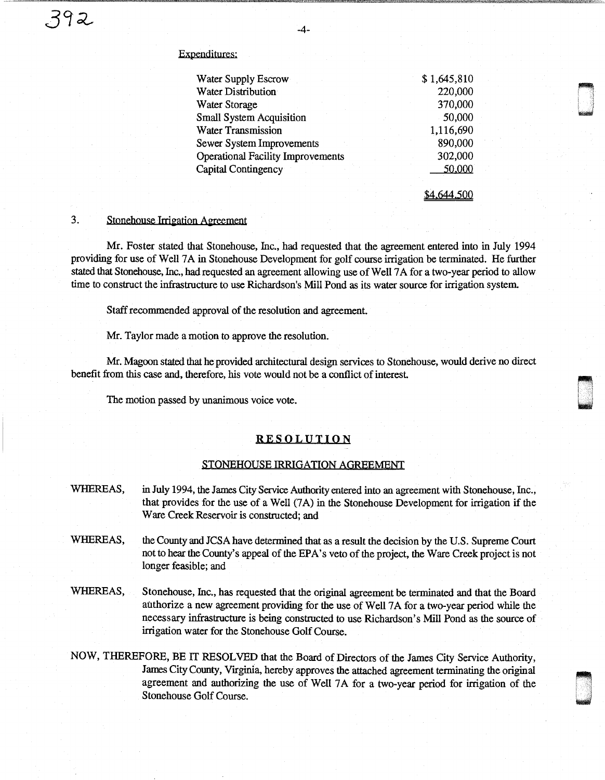#### Expenditures:

| Water Supply Escrow                      | \$1,645,810 |
|------------------------------------------|-------------|
| Water Distribution                       | 220,000     |
| <b>Water Storage</b>                     | 370,000     |
| <b>Small System Acquisition</b>          | 50,000      |
| <b>Water Transmission</b>                | 1,116,690   |
| Sewer System Improvements                | 890,000     |
| <b>Operational Facility Improvements</b> | 302,000     |
| Capital Contingency                      | 50,000      |
|                                          |             |

\$4.644.500

 $\blacksquare$ i I l ' ~

0

~ u

#### 3. Stonehouse Irrigation Agreement

Mr. Foster stated that Stonehouse, Inc., had requested that the agreement entered into in July 1994 providing for use of Well 7 A in Stonehouse Development for golf course irrigation be terminated. He further stated that Stonehouse, Inc., had requested an agreement allowing use of Well 7 A for a two-year period to allow time to construct the infrastructure to use Richardson's Mill Pond as its water source for irrigation system.

Staff recommended approval of the resolution and agreement.

Mr. Taylor made a motion to approve the resolution.

Mr. Magoon stated that he provided architectural design services to Stonehouse, would derive no direct benefit from this case and, therefore, his vote would not be a conflict of interest.

The motion passed by unanimous voice vote.

## **RESOLUTION**

#### STONEHOUSE IRRIGATION AGREEMENT

- WHEREAS, in July 1994, the James City Service Authority entered into an agreement with Stonehouse, Inc., that provides for the use of a Well (7A) in the Stonehouse Development for irrigation if the Ware Creek Reservoir is constructed; and
- WHEREAS, the County and JCSA have determined that as a result the decision by the U.S. Supreme Court not to hear the County's appeal of the EPA's veto of the project, the Ware Creek project is not longer feasible; and
- WHEREAS, Stonehouse, Inc., has requested that the original agreement be terminated and that the Board authorize a new agreement providing for the use of Well 7 A for a two-year period while the necessary infrastructure is being constructed to use Richardson's Mill Pond as the source of irrigation water for the Stonehouse Golf Course.
- NOW, THEREFORE, BE IT RESOLVED that the Board of Directors of the James City Service Authority, James City County, Virginia, hereby approves the attached agreement terminating the original agreement and authorizing the use of Well 7A for a two-year period for irrigation of the Stonehouse Golf Course.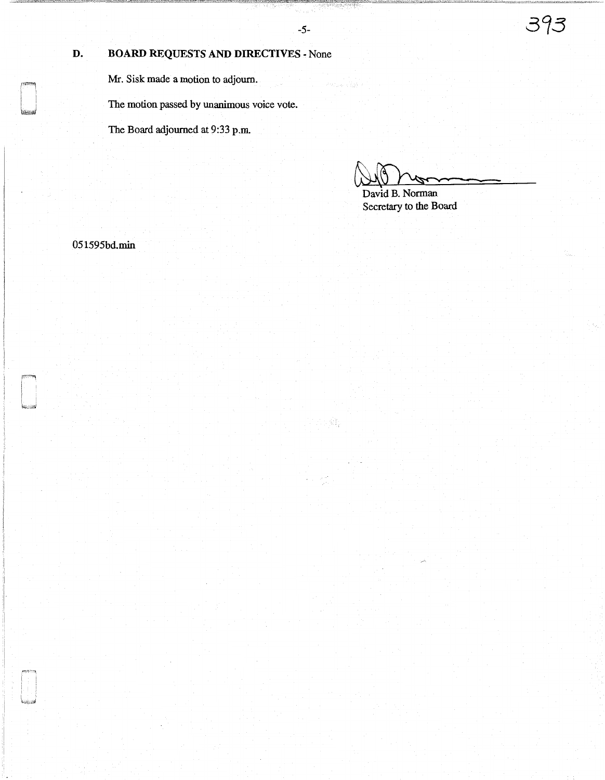# **D. BOARD REQUESTS AND DIRECTIVES** - None

Mr. Sisk made a motion to adjourn.

The motion passed by unanimous voice vote.

The Board adjourned at 9:33 p.m.

~~- David **B.** Norman

Secretary to the Board

051595bd.min

**SERVICE STATE** 

**7.1 照復**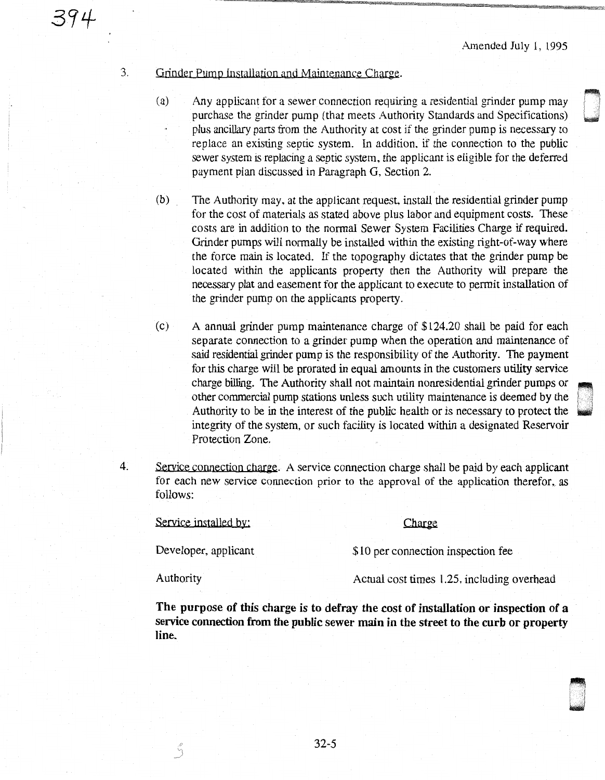aliza.<br>2006 -<br>2006 -.

## 3. Grinder Pump Installation and Maintenance Charge.

394

- $(a)$  Any applicant for a sewer connection requiring a residential grinder pump may purchase the grinder pump (that meets Authority Standards and Specifications) plus ancillary pans from the Authority at cost if the grinder pump is necessary to replace an existing septic system. In addition. if the connection to the public sewer system is replacing a septic system, the applicant is eligible for the deferred payment plan discussed in Paragraph G, Section 2.
- (b) The Authority may, at the applicant request, install the residential grinder pump for the cost of materials as stated above plus labor and equipment costs. These costs are in addition to the normal Sewer System Facilities Charge if required. Grinder pumps will normally be installed within the existing right-of-way where the force main is located. If the topography dictates that the grinder pump be located within the applicants property then the Authority will prepare the necessary plat and easement for the applicant to execute to permit installation of the grinder pump on the applicants property.
- (c) A annual grinder pump maintenance charge of \$124.20 shall be paid for each separate connection to a grinder pump when the operation and maintenance of said residential grinder pump is the responsibility of the Authority. The payment for this charge will be prorated in equal amounts in the customers utility service charge billing. The Authority shall not maintain nonresidential grinder pumps or other commercial pump stations unless such utility maintenance is deemed by the Authority to be in the interest of the public health or is necessary to protect the integrity of the system, or such facility is located within a designated Reservoir Protection Zone.
- 4. Service connection charge. A service connection charge shall be paid by each applicant for each new service connection prior to the approval of the application therefor, as follows:

Service installed by: Charge

Developer, applicant  $$10$  per connection inspection fee

\_J

Authority Actual cost times 1.25, including overhead

The purpose of this charge is to defray the cost of installation or inspection of a service connection from the public sewer main in the street to the curb or property line.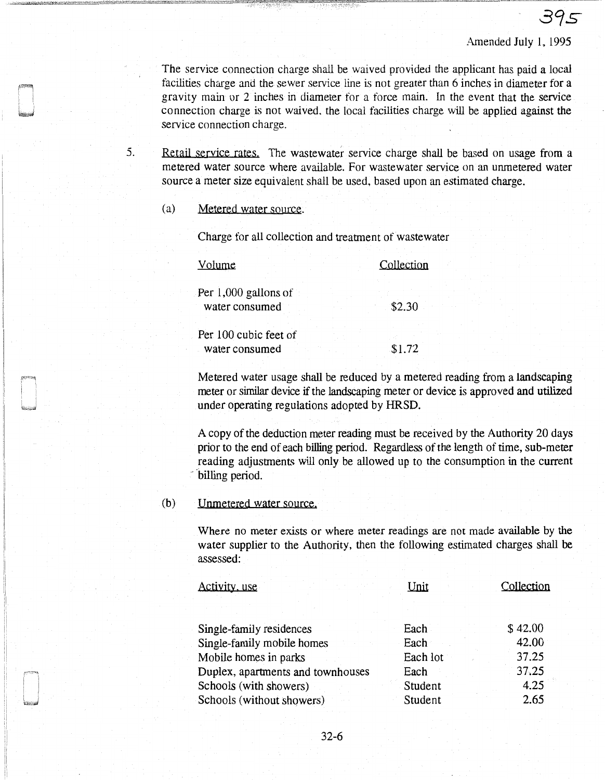395

The service connection charge shall be waived provided the applicant has paid a local facilities charge and the sewer service line is not greater than 6 inches in diameter for a gravity main or 2 inches in diameter for a force main. In the event that the service connection charge is not waived, the local facilities charge will be applied against the service connection charge.

5. Retail service rates. The wastewater service charge shall be based on usage from a metered water source where available. For wastewater service on an unmetered water source a meter size equivalent shall be used, based upon an estimated charge.

## (a) Metered water source.

Charge for all collection and treatment of wastewater

| Volume                                   | Collection |
|------------------------------------------|------------|
| Per $1,000$ gallons of<br>water consumed | \$2.30     |
| Per 100 cubic feet of<br>water consumed  | \$1.72     |

Metered water usage shall be reduced by a metered reading from a landscaping meter or similar device if the landscaping meter or device is approved and utilized under operating regulations adopted by HRSD.

A copy of the deduction meter reading must be received by the Authority 20 days prior to the end of each billing period. Regardless of the length of time, sub-meter reading adjustments will only be allowed up to the consumption in the current billing period.

## (b) Unmetered water source.

Where no meter exists or where meter readings are not made available by the water supplier to the Authority, then the following estimated charges shall be assessed:

| Activity, use                     | Unit     | Collection |
|-----------------------------------|----------|------------|
|                                   |          |            |
| Single-family residences          | Each     | \$42.00    |
| Single-family mobile homes        | Each     | 42.00      |
| Mobile homes in parks             | Each lot | 37.25      |
| Duplex, apartments and townhouses | Each     | 37.25      |
| Schools (with showers)            | Student  | 4.25       |
| Schools (without showers)         | Student  | 2.65       |